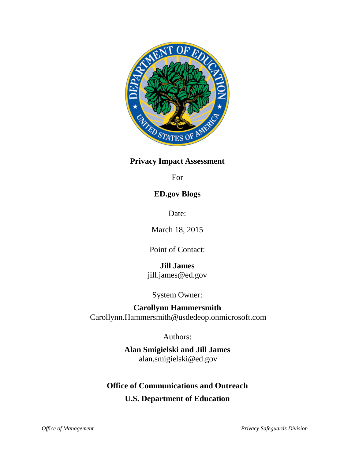

## **Privacy Impact Assessment**

For

# **ED.gov Blogs**

Date:

March 18, 2015

Point of Contact:

**Jill James** jill.james@ed.gov

System Owner:

# **Carollynn Hammersmith**

Carollynn.Hammersmith@usdedeop.onmicrosoft.com

Authors:

**Alan Smigielski and Jill James** alan.smigielski@ed.gov

# **Office of Communications and Outreach**

**U.S. Department of Education**

*Office of Management Privacy Safeguards Division*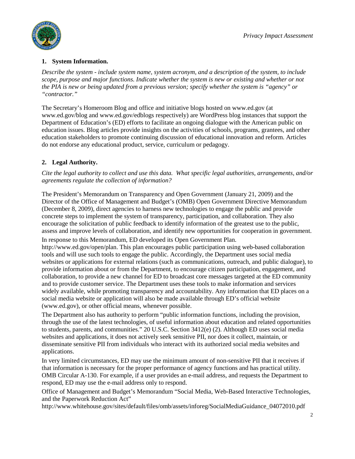

### **1. System Information.**

*Describe the system - include system name, system acronym, and a description of the system, to include scope, purpose and major functions. Indicate whether the system is new or existing and whether or not the PIA is new or being updated from a previous version; specify whether the system is "agency" or "contractor."*

The Secretary's Homeroom Blog and office and initiative blogs hosted on www.ed.gov (at www.ed.gov/blog and www.ed.gov/edblogs respectively) are WordPress blog instances that support the Department of Education's (ED) efforts to facilitate an ongoing dialogue with the American public on education issues. Blog articles provide insights on the activities of schools, programs, grantees, and other education stakeholders to promote continuing discussion of educational innovation and reform. Articles do not endorse any educational product, service, curriculum or pedagogy.

## **2. Legal Authority.**

*Cite the legal authority to collect and use this data. What specific legal authorities, arrangements, and/or agreements regulate the collection of information?*

The President's Memorandum on Transparency and Open Government (January 21, 2009) and the Director of the Office of Management and Budget's (OMB) Open Government Directive Memorandum (December 8, 2009), direct agencies to harness new technologies to engage the public and provide concrete steps to implement the system of transparency, participation, and collaboration. They also encourage the solicitation of public feedback to identify information of the greatest use to the public, assess and improve levels of collaboration, and identify new opportunities for cooperation in government.

In response to this Memorandum, ED developed its Open Government Plan. http://www.ed.gov/open/plan. This plan encourages public participation using web-based collaboration tools and will use such tools to engage the public. Accordingly, the Department uses social media websites or applications for external relations (such as communications, outreach, and public dialogue), to provide information about or from the Department, to encourage citizen participation, engagement, and collaboration, to provide a new channel for ED to broadcast core messages targeted at the ED community and to provide customer service. The Department uses these tools to make information and services

widely available, while promoting transparency and accountability. Any information that ED places on a social media website or application will also be made available through ED's official website (www.ed.gov), or other official means, whenever possible. The Department also has authority to perform "public information functions, including the provision,

through the use of the latest technologies, of useful information about education and related opportunities to students, parents, and communities." 20 U.S.C. Section 3412(e) (2). Although ED uses social media websites and applications, it does not actively seek sensitive PII, nor does it collect, maintain, or disseminate sensitive PII from individuals who interact with its authorized social media websites and applications.

In very limited circumstances, ED may use the minimum amount of non-sensitive PII that it receives if that information is necessary for the proper performance of agency functions and has practical utility. OMB Circular A-130. For example, if a user provides an e-mail address, and requests the Department to respond, ED may use the e-mail address only to respond.

Office of Management and Budget's Memorandum "Social Media, Web-Based Interactive Technologies, and the Paperwork Reduction Act"

http://www.whitehouse.gov/sites/default/files/omb/assets/inforeg/SocialMediaGuidance\_04072010.pdf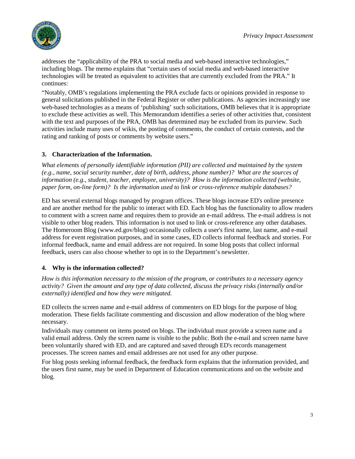

addresses the "applicability of the PRA to social media and web-based interactive technologies," including blogs. The memo explains that "certain uses of social media and web-based interactive technologies will be treated as equivalent to activities that are currently excluded from the PRA." It continues:

"Notably, OMB's regulations implementing the PRA exclude facts or opinions provided in response to general solicitations published in the Federal Register or other publications. As agencies increasingly use web-based technologies as a means of 'publishing' such solicitations, OMB believes that it is appropriate to exclude these activities as well. This Memorandum identifies a series of other activities that, consistent with the text and purposes of the PRA, OMB has determined may be excluded from its purview. Such activities include many uses of wikis, the posting of comments, the conduct of certain contests, and the rating and ranking of posts or comments by website users."

## **3. Characterization of the Information.**

*What elements of personally identifiable information (PII) are collected and maintained by the system (e.g., name, social security number, date of birth, address, phone number)? What are the sources of information (e.g., student, teacher, employee, university)? How is the information collected (website, paper form, on-line form)? Is the information used to link or cross-reference multiple databases?*

ED has several external blogs managed by program offices. These blogs increase ED's online presence and are another method for the public to interact with ED. Each blog has the functionality to allow readers to comment with a screen name and requires them to provide an e-mail address. The e-mail address is not visible to other blog readers. This information is not used to link or cross-reference any other databases. The Homeroom Blog (www.ed.gov/blog) occasionally collects a user's first name, last name, and e-mail address for event registration purposes, and in some cases, ED collects informal feedback and stories. For informal feedback, name and email address are not required. In some blog posts that collect informal feedback, users can also choose whether to opt in to the Department's newsletter.

### **4. Why is the information collected?**

*How is this information necessary to the mission of the program, or contributes to a necessary agency activity? Given the amount and any type of data collected, discuss the privacy risks (internally and/or externally) identified and how they were mitigated.*

ED collects the screen name and e-mail address of commenters on ED blogs for the purpose of blog moderation. These fields facilitate commenting and discussion and allow moderation of the blog where necessary.

Individuals may comment on items posted on blogs. The individual must provide a screen name and a valid email address. Only the screen name is visible to the public. Both the e-mail and screen name have been voluntarily shared with ED, and are captured and saved through ED's records management processes. The screen names and email addresses are not used for any other purpose.

For blog posts seeking informal feedback, the feedback form explains that the information provided, and the users first name, may be used in Department of Education communications and on the website and blog.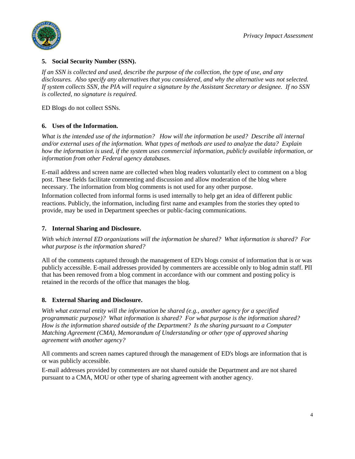

#### **5. Social Security Number (SSN).**

*If an SSN is collected and used, describe the purpose of the collection, the type of use, and any disclosures. Also specify any alternatives that you considered, and why the alternative was not selected. If system collects SSN, the PIA will require a signature by the Assistant Secretary or designee. If no SSN is collected, no signature is required.*

ED Blogs do not collect SSNs.

### **6. Uses of the Information.**

*What is the intended use of the information? How will the information be used? Describe all internal and/or external uses of the information. What types of methods are used to analyze the data? Explain how the information is used, if the system uses commercial information, publicly available information, or information from other Federal agency databases.*

E-mail address and screen name are collected when blog readers voluntarily elect to comment on a blog post. These fields facilitate commenting and discussion and allow moderation of the blog where necessary. The information from blog comments is not used for any other purpose.

Information collected from informal forms is used internally to help get an idea of different public reactions. Publicly, the information, including first name and examples from the stories they opted to provide, may be used in Department speeches or public-facing communications.

#### **7. Internal Sharing and Disclosure.**

*With which internal ED organizations will the information be shared? What information is shared? For what purpose is the information shared?*

All of the comments captured through the management of ED's blogs consist of information that is or was publicly accessible. E-mail addresses provided by commenters are accessible only to blog admin staff. PII that has been removed from a blog comment in accordance with our comment and posting policy is retained in the records of the office that manages the blog.

### **8. External Sharing and Disclosure.**

*With what external entity will the information be shared (e.g., another agency for a specified programmatic purpose)? What information is shared? For what purpose is the information shared? How is the information shared outside of the Department? Is the sharing pursuant to a Computer Matching Agreement (CMA), Memorandum of Understanding or other type of approved sharing agreement with another agency?*

All comments and screen names captured through the management of ED's blogs are information that is or was publicly accessible.

E-mail addresses provided by commenters are not shared outside the Department and are not shared pursuant to a CMA, MOU or other type of sharing agreement with another agency.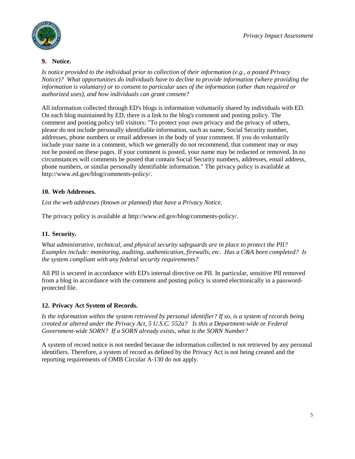

### **9. Notice.**

*Is notice provided to the individual prior to collection of their information (e.g., a posted Privacy Notice)? What opportunities do individuals have to decline to provide information (where providing the information is voluntary) or to consent to particular uses of the information (other than required or authorized uses), and how individuals can grant consent?* 

All information collected through ED's blogs is information voluntarily shared by individuals with ED. On each blog maintained by ED, there is a link to the blog's comment and posting policy. The comment and posting policy tell visitors: "To protect your own privacy and the privacy of others, please do not include personally identifiable information, such as name, Social Security number, addresses, phone numbers or email addresses in the body of your comment. If you do voluntarily include your name in a comment, which we generally do not recommend, that comment may or may not be posted on these pages. If your comment is posted, your name may be redacted or removed. In no circumstances will comments be posted that contain Social Security numbers, addresses, email address, phone numbers, or similar personally identifiable information." The privacy policy is available at http://www.ed.gov/blog/comments-policy/.

## **10. Web Addresses.**

*List the web addresses (known or planned) that have a Privacy Notice.*

The privacy policy is available at http://www.ed.gov/blog/comments-policy/.

## **11. Security.**

*What administrative, technical, and physical security safeguards are in place to protect the PII? Examples include: monitoring, auditing, authentication, firewalls, etc. Has a C&A been completed? Is the system compliant with any federal security requirements?* 

All PII is secured in accordance with ED's internal directive on PII. In particular, sensitive PII removed from a blog in accordance with the comment and posting policy is stored electronically in a passwordprotected file.

### **12. Privacy Act System of Records.**

*Is the information within the system retrieved by personal identifier? If so, is a system of records being created or altered under the Privacy Act, 5 U.S.C. 552a? Is this a Department-wide or Federal Government-wide SORN? If a SORN already exists, what is the SORN Number?* 

A system of record notice is not needed because the information collected is not retrieved by any personal identifiers. Therefore, a system of record as defined by the Privacy Act is not being created and the reporting requirements of OMB Circular A-130 do not apply.